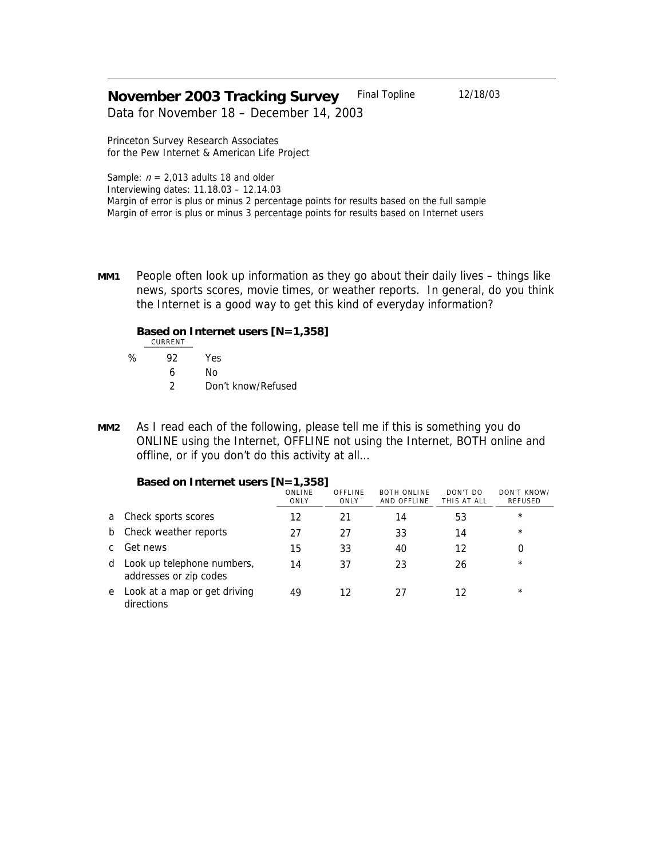# **November 2003 Tracking Survey** Final Topline 12/18/03

Data for November 18 – December 14, 2003

Princeton Survey Research Associates for the Pew Internet & American Life Project

Sample:  $n = 2,013$  adults 18 and older Interviewing dates: 11.18.03 – 12.14.03 Margin of error is plus or minus 2 percentage points for results based on the full sample Margin of error is plus or minus 3 percentage points for results based on Internet users

**MM1** People often look up information as they go about their daily lives – things like news, sports scores, movie times, or weather reports. In general, do you think the Internet is a good way to get this kind of everyday information?

## **Based on Internet users [N=1,358]**

CURRENT

- % 92 Yes 6 No
	- - 2 Don't know/Refused
- **MM2** As I read each of the following, please tell me if this is something you do ONLINE using the Internet, OFFLINE not using the Internet, BOTH online and offline, or if you don't do this activity at all…

|   | <b>Pasca on micritic ascrs</b> [19 – 1,999]          |                |                 |                                   |                         |                        |  |  |
|---|------------------------------------------------------|----------------|-----------------|-----------------------------------|-------------------------|------------------------|--|--|
|   |                                                      | ONLINE<br>ONLY | OFFLINE<br>ONLY | <b>BOTH ONLINE</b><br>AND OFFLINE | DON'T DO<br>THIS AT ALL | DON'T KNOW/<br>REFUSED |  |  |
| a | Check sports scores                                  | 12             | 21              | 14                                | 53                      | $\star$                |  |  |
| b | Check weather reports                                | 27             | 27              | 33                                | 14                      | $\star$                |  |  |
|   | Get news                                             | 15             | 33              | 40                                | 12                      |                        |  |  |
| d | Look up telephone numbers,<br>addresses or zip codes | 14             | 37              | 23                                | 26                      | $\star$                |  |  |
| e | Look at a map or get driving<br>directions           | 49             | 12              | 27                                | 12                      | $\star$                |  |  |

### **Based on Internet users [N=1,358]**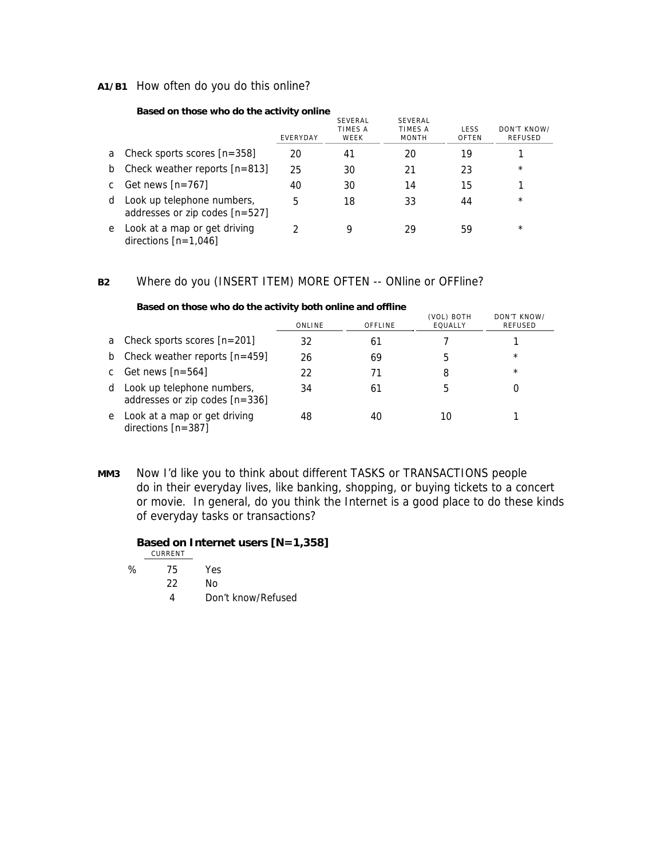## **A1/B1** How often do you do this online?

#### **Based on those who do the activity online**

|   |                                                                | EVERYDAY | <b>SEVERAL</b><br>TIMES A<br>WEEK | SEVERAL<br>TIMES A<br><b>MONTH</b> | LESS<br>OFTEN | DON'T KNOW/<br>REFUSED |
|---|----------------------------------------------------------------|----------|-----------------------------------|------------------------------------|---------------|------------------------|
| a | Check sports scores $[n=358]$                                  | 20       | 41                                | 20                                 | 19            |                        |
| b | Check weather reports $[n=813]$                                | 25       | 30                                | 21                                 | 23            | $\star$                |
|   | Get news $[n=767]$                                             | 40       | 30                                | 14                                 | 15            |                        |
| d | Look up telephone numbers,<br>addresses or zip codes $[n=527]$ | 5        | 18                                | 33                                 | 44            | $\star$                |
| e | Look at a map or get driving<br>directions $[n=1,046]$         |          | Q                                 | 29                                 | 59            | $\star$                |

## **B2** Where do you (INSERT ITEM) MORE OFTEN -- ONline or OFFline?

| <b>Dasculon mose who do the activity both online and online</b> |                                                                |        |         |                       |                        |  |  |
|-----------------------------------------------------------------|----------------------------------------------------------------|--------|---------|-----------------------|------------------------|--|--|
|                                                                 |                                                                | ONLINE | OFFLINE | (VOL) BOTH<br>EQUALLY | DON'T KNOW/<br>REFUSED |  |  |
| a                                                               | Check sports scores $[n=201]$                                  | 32     | 61      |                       |                        |  |  |
|                                                                 | b Check weather reports $[n=459]$                              | 26     | 69      | 5                     | $^{\star}$             |  |  |
| $\mathbf{c}$                                                    | Get news $[n=564]$                                             | 22     | 71      | 8                     | $\star$                |  |  |
|                                                                 | d Look up telephone numbers,<br>addresses or zip codes [n=336] | 34     | 61      | 5                     |                        |  |  |
|                                                                 | e Look at a map or get driving<br>directions $[n=387]$         | 48     | 40      | 10                    |                        |  |  |

#### **Based on those who do the activity both online and offline**

**MM3** Now I'd like you to think about different TASKS or TRANSACTIONS people do in their everyday lives, like banking, shopping, or buying tickets to a concert or movie. In general, do you think the Internet is a good place to do these kinds of everyday tasks or transactions?

# **Based on Internet users [N=1,358]**

|   | CURRENT |     |
|---|---------|-----|
| ℅ | 75      | Yes |

- 22 No
	- 4 Don't know/Refused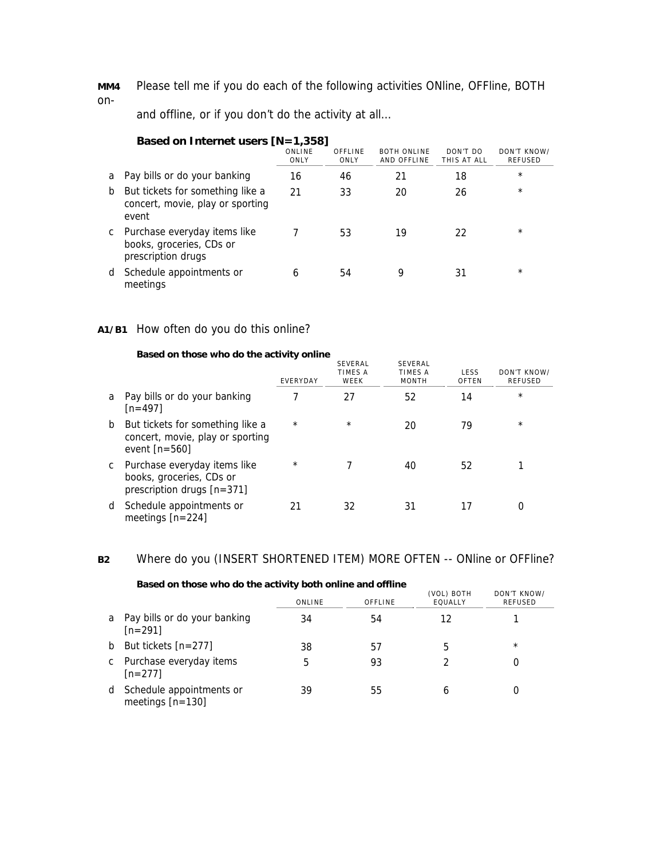**MM4** Please tell me if you do each of the following activities ONline, OFFline, BOTH on-

and offline, or if you don't do the activity at all…

|    | Based on Internet users $[N=1,358]$                                            |                |                 |                                   |                         |                               |  |  |
|----|--------------------------------------------------------------------------------|----------------|-----------------|-----------------------------------|-------------------------|-------------------------------|--|--|
|    |                                                                                | ONLINE<br>ONLY | OFFLINE<br>ONLY | <b>BOTH ONLINE</b><br>AND OFFLINE | DON'T DO<br>THIS AT ALL | DON'T KNOW/<br><b>REFUSED</b> |  |  |
| a  | Pay bills or do your banking                                                   | 16             | 46              | 21                                | 18                      | $\star$                       |  |  |
| b  | But tickets for something like a<br>concert, movie, play or sporting<br>event  | 21             | 33              | 20                                | 26                      | $\star$                       |  |  |
| C. | Purchase everyday items like<br>books, groceries, CDs or<br>prescription drugs |                | 53              | 19                                | 22                      | $\star$                       |  |  |
| d  | Schedule appointments or<br>meetings                                           | 6              | 54              | 9                                 | 31                      | $\star$                       |  |  |

# **A1/B1** How often do you do this online?

#### **Based on those who do the activity online**

|   |                                                                                         | EVERYDAY | <b>SEVERAL</b><br>TIMES A<br>WEEK | SEVERAL<br>TIMES A<br><b>MONTH</b> | LESS<br>OFTEN | DON'T KNOW/<br><b>REFUSED</b> |
|---|-----------------------------------------------------------------------------------------|----------|-----------------------------------|------------------------------------|---------------|-------------------------------|
| a | Pay bills or do your banking<br>$[n=497]$                                               |          | 27                                | 52                                 | 14            | $\star$                       |
| b | But tickets for something like a<br>concert, movie, play or sporting<br>event $[n=560]$ | $\star$  | $\star$                           | 20                                 | 79            | $\star$                       |
| C | Purchase everyday items like<br>books, groceries, CDs or<br>prescription drugs [n=371]  | $\star$  |                                   | 40                                 | 52            |                               |
| d | Schedule appointments or<br>meetings $[n=224]$                                          | 21       | 32                                | 31                                 | 17            | 0                             |

# **B2** Where do you (INSERT SHORTENED ITEM) MORE OFTEN -- ONline or OFFline?

|    | <b>Dasca on mosc who as me astrony both online and online</b> |        |         |                       |                               |
|----|---------------------------------------------------------------|--------|---------|-----------------------|-------------------------------|
|    |                                                               | ONLINE | OFFLINE | (VOL) BOTH<br>EQUALLY | DON'T KNOW/<br><b>REFUSED</b> |
|    | a Pay bills or do your banking<br>$[n=291]$                   | 34     | 54      | 12                    |                               |
| b. | But tickets [n=277]                                           | 38     | b1      | 5                     | $\star$                       |
|    | c Purchase everyday items<br>$[n=277]$                        | 5      | 93      | 2                     |                               |
| d  | Schedule appointments or<br>meetings $[n=130]$                | 39     | 55      | h                     |                               |

**Based on those who do the activity both online and offline**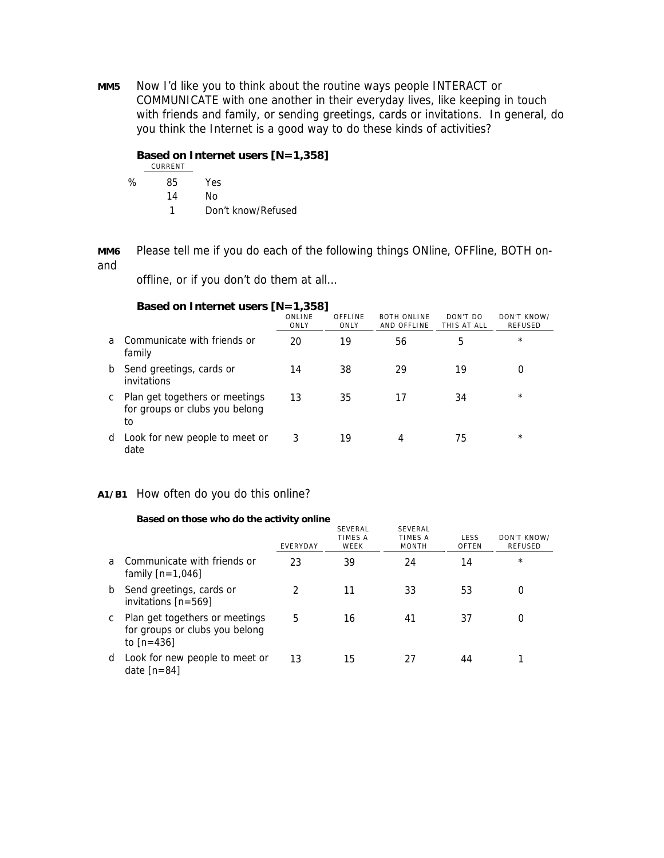**MM5** Now I'd like you to think about the routine ways people INTERACT or COMMUNICATE with one another in their everyday lives, like keeping in touch with friends and family, or sending greetings, cards or invitations. In general, do you think the Internet is a good way to do these kinds of activities?

# **Based on Internet users [N=1,358]**

|   | CURRENT |                    |
|---|---------|--------------------|
| ℅ | 85      | Yes.               |
|   | 14      | N٥                 |
|   |         | Don't know/Refused |

**MM6** Please tell me if you do each of the following things ONline, OFFline, BOTH onand

offline, or if you don't do them at all…

|   | Based on Internet users $[N=1,358]$                                    |                |                 |                                   |                         |                               |  |  |  |
|---|------------------------------------------------------------------------|----------------|-----------------|-----------------------------------|-------------------------|-------------------------------|--|--|--|
|   |                                                                        | ONLINE<br>ONLY | OFFLINE<br>ONLY | <b>BOTH ONLINE</b><br>AND OFFLINE | DON'T DO<br>THIS AT ALL | DON'T KNOW/<br><b>REFUSED</b> |  |  |  |
| a | Communicate with friends or<br>family                                  | 20             | 19              | 56                                | 5                       | $\star$                       |  |  |  |
| b | Send greetings, cards or<br>invitations                                | 14             | 38              | 29                                | 19                      | 0                             |  |  |  |
| C | Plan get togethers or meetings<br>for groups or clubs you belong<br>to | 13             | 35              | 17                                | 34                      | $\star$                       |  |  |  |
| d | Look for new people to meet or<br>date                                 | 3              | 19              | 4                                 | 75                      | $\star$                       |  |  |  |

### **A1/B1** How often do you do this online?

|              | Based on those who do the activity online                                        |          |                            |                                    |               |                               |
|--------------|----------------------------------------------------------------------------------|----------|----------------------------|------------------------------------|---------------|-------------------------------|
|              |                                                                                  | EVERYDAY | SEVERAL<br>TIMES A<br>WEEK | SEVERAL<br>TIMES A<br><b>MONTH</b> | LESS<br>OFTEN | DON'T KNOW/<br><b>REFUSED</b> |
| <sub>a</sub> | Communicate with friends or<br>family $[n=1,046]$                                | 23       | 39                         | 24                                 | 14            | $\star$                       |
| b            | Send greetings, cards or<br>invitations $[n=569]$                                |          | 11                         | 33                                 | 53            | 0                             |
| C            | Plan get togethers or meetings<br>for groups or clubs you belong<br>to $[n=436]$ | 5        | 16                         | 41                                 | 37            | 0                             |
| d            | Look for new people to meet or<br>date $[n=84]$                                  | 13       | 15                         | 27                                 | 44            |                               |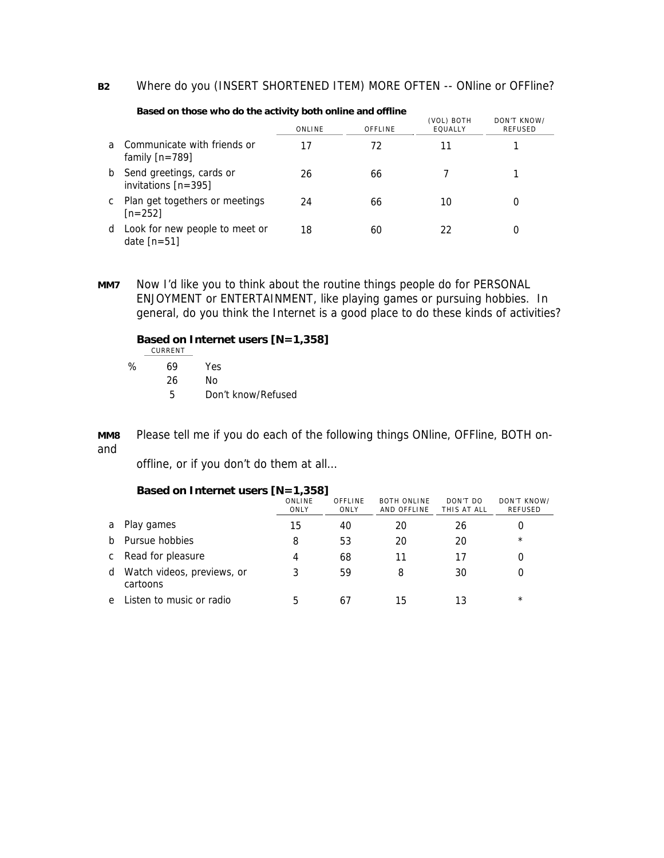## **B2** Where do you (INSERT SHORTENED ITEM) MORE OFTEN -- ONline or OFFline?

| Based on those who do the activity both online and offline |                                                   |        |         |                       |                        |  |  |
|------------------------------------------------------------|---------------------------------------------------|--------|---------|-----------------------|------------------------|--|--|
|                                                            |                                                   | ONLINE | OFFLINE | (VOL) BOTH<br>EQUALLY | DON'T KNOW/<br>REFUSED |  |  |
| a                                                          | Communicate with friends or<br>family $[n=789]$   | 17     | 72      | 11                    |                        |  |  |
| b                                                          | Send greetings, cards or<br>invitations $[n=395]$ | 26     | 66      |                       |                        |  |  |
| C                                                          | Plan get togethers or meetings<br>$[n=252]$       | 24     | 66      | 10                    |                        |  |  |
| d                                                          | Look for new people to meet or<br>date $[n=51]$   | 18     | 60      | 22                    | $\Omega$               |  |  |

**MM7** Now I'd like you to think about the routine things people do for PERSONAL ENJOYMENT or ENTERTAINMENT, like playing games or pursuing hobbies. In general, do you think the Internet is a good place to do these kinds of activities?

# **Based on Internet users [N=1,358]**

CURRENT

% 69 Yes 26 No 5 Don't know/Refused

**MM8** Please tell me if you do each of the following things ONline, OFFline, BOTH onand

offline, or if you don't do them at all…

### **Based on Internet users [N=1,358]**

|              |                                        | ONLINE<br>ONLY | OFFLINE<br>ONLY | <b>BOTH ONLINE</b><br>AND OFFLINE | DON'T DO<br>THIS AT ALL | DON'T KNOW/<br>REFUSED |
|--------------|----------------------------------------|----------------|-----------------|-----------------------------------|-------------------------|------------------------|
| a            | Play games                             | 15             | 40              | 20                                | 26                      |                        |
|              | b Pursue hobbies                       | 8              | 53              | 20                                | 20                      | $\star$                |
| $\mathsf{C}$ | Read for pleasure                      | 4              | 68              |                                   | 17                      |                        |
| d            | Watch videos, previews, or<br>cartoons | 3              | 59              | 8                                 | 30                      |                        |
| e            | Listen to music or radio               | 5              | 61              | 15                                | 13                      | $\star$                |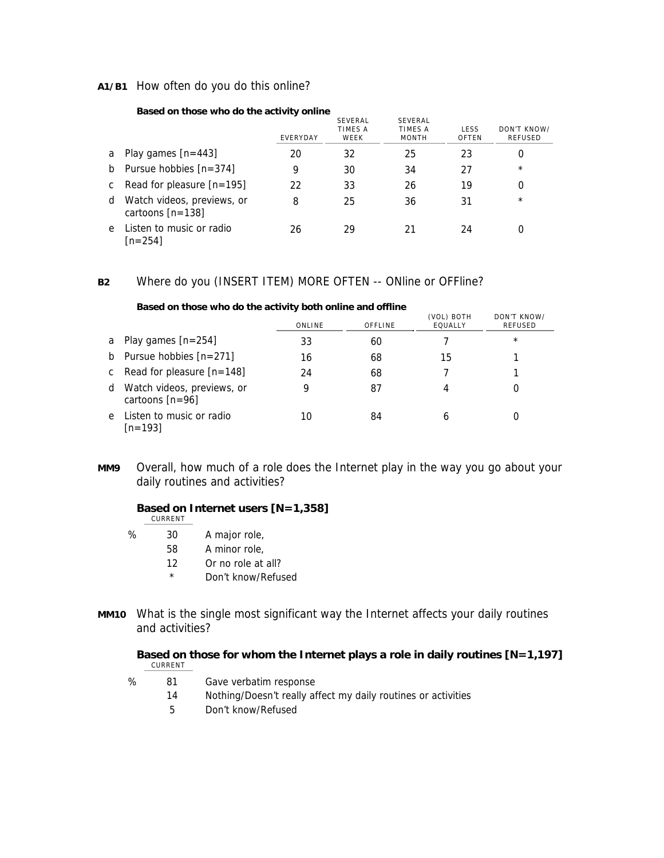### **A1/B1** How often do you do this online?

#### **Based on those who do the activity online**

|              |                                                  | EVERYDAY | <b>SEVERAL</b><br>TIMES A<br>WEEK | SEVERAL<br>TIMES A<br><b>MONTH</b> | LESS<br>OFTEN | DON'T KNOW/<br>REFUSED |
|--------------|--------------------------------------------------|----------|-----------------------------------|------------------------------------|---------------|------------------------|
| a            | Play games $[n=443]$                             | 20       | 32                                | 25                                 | 23            | 0                      |
| b            | Pursue hobbies $[n=374]$                         | 9        | 30                                | 34                                 | 27            | $\star$                |
| $\mathsf{C}$ | Read for pleasure $[n=195]$                      | 22       | 33                                | 26                                 | 19            | 0                      |
| d            | Watch videos, previews, or<br>cartoons $[n=138]$ | 8        | 25                                | 36                                 | 31            | $\star$                |
| e            | Listen to music or radio<br>[n=254]              | 26       | 29                                | 21                                 | 24            | 0                      |

## **B2** Where do you (INSERT ITEM) MORE OFTEN -- ONline or OFFline?

| based on those who do the activity both online and online |                                                 |        |         |                       |                               |  |  |  |
|-----------------------------------------------------------|-------------------------------------------------|--------|---------|-----------------------|-------------------------------|--|--|--|
|                                                           |                                                 | ONLINE | OFFLINE | (VOL) BOTH<br>EQUALLY | DON'T KNOW/<br><b>REFUSED</b> |  |  |  |
|                                                           | a Play games $[n=254]$                          | 33     | 60      |                       | $^{\star}$                    |  |  |  |
|                                                           | b Pursue hobbies $[n=271]$                      | 16     | 68      | 15                    |                               |  |  |  |
|                                                           | c Read for pleasure $[n=148]$                   | 24     | 68      |                       |                               |  |  |  |
| d                                                         | Watch videos, previews, or<br>cartoons $[n=96]$ | 9      | 87      | 4                     | 0                             |  |  |  |
| e                                                         | Listen to music or radio<br>$[n=193]$           | 10     | 84      | 6                     | O                             |  |  |  |

#### **Based on those who do the activity both online and offline**

**MM9** Overall, how much of a role does the Internet play in the way you go about your daily routines and activities?

## **Based on Internet users [N=1,358]**

| CURREN <sup>-</sup><br>$\sim$ |  |
|-------------------------------|--|
|                               |  |

- % 30 A major role,
	- 58 A minor role,
		- 12 Or no role at all?
			- \* Don't know/Refused
- **MM10** What is the single most significant way the Internet affects your daily routines and activities?

### **Based on those for whom the Internet plays a role in daily routines [N=1,197]**  CURRENT

- % 81 Gave verbatim response
	- 14 Nothing/Doesn't really affect my daily routines or activities
	- 5 Don't know/Refused